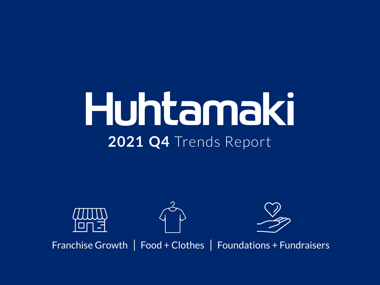#### Huhtamaki **2021 Q4** Trends Report







Franchise Growth | Food + Clothes | Foundations + Fundraisers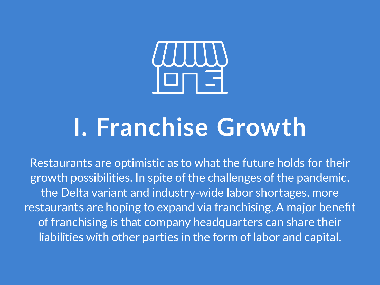

#### **I. Franchise Growth**

Restaurants are optimistic as to what the future holds for their growth possibilities. In spite of the challenges of the pandemic, the Delta variant and industry-wide labor shortages, more restaurants are hoping to expand via franchising. A major benefit of franchising is that company headquarters can share their liabilities with other parties in the form of labor and capital.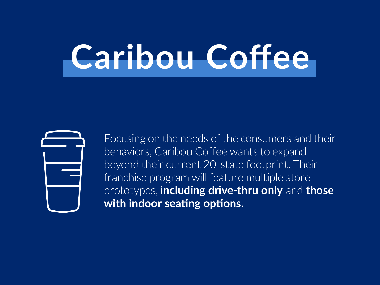#### **Caribou Coffee**



Focusing on the needs of the consumers and their behaviors, Caribou Coffee wants to expand beyond their current 20-state footprint. Their franchise program will feature multiple store prototypes, **including drive-thru only** and **those with indoor seating options.**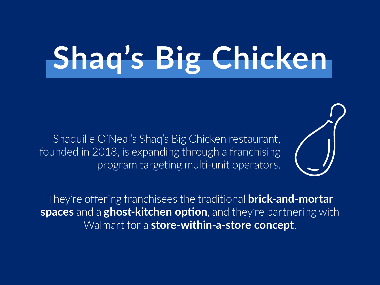#### **Shaq's Big Chicken**

Shaquille O'Neal's Shaq's Big Chicken restaurant, founded in 2018, is expanding through a franchising program targeting multi-unit operators.



They're offering franchisees the traditional **brick-and-mortar spaces** and a **ghost-kitchen option**, and they're partnering with Walmart for a **store-within-a-store concept**.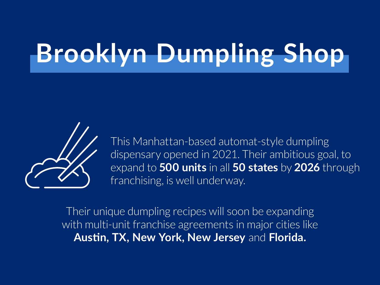#### **Brooklyn Dumpling Shop**



This Manhattan-based automat-style dumpling dispensary opened in 2021. Their ambitious goal, to expand to **500 units** in all **50 states** by **2026** through franchising, is well underway.

Their unique dumpling recipes will soon be expanding with multi-unit franchise agreements in major cities like **Austin, TX, New York, New Jersey** and **Florida.**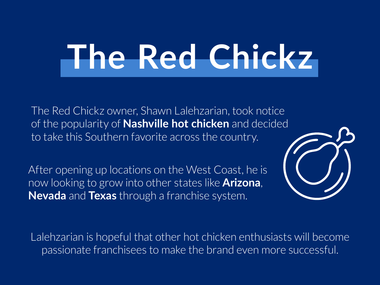## **The Red Chickz**

The Red Chickz owner, Shawn Lalehzarian, took notice of the popularity of **Nashville hot chicken** and decided to take this Southern favorite across the country.

After opening up locations on the West Coast, he is now looking to grow into other states like **Arizona**, **Nevada** and **Texas** through a franchise system.



Lalehzarian is hopeful that other hot chicken enthusiasts will become passionate franchisees to make the brand even more successful.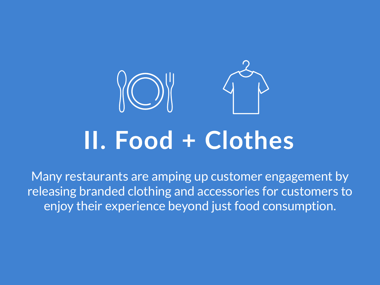

Many restaurants are amping up customer engagement by releasing branded clothing and accessories for customers to enjoy their experience beyond just food consumption.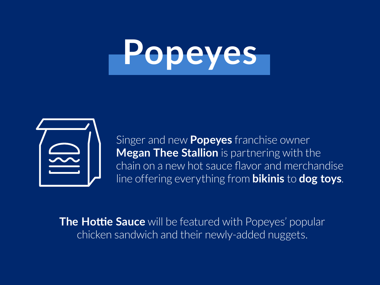# **Popeyes**



Singer and new **Popeyes** franchise owner **Megan Thee Stallion** is partnering with the chain on a new hot sauce flavor and merchandise line offering everything from **bikinis** to **dog toys**.

**The Hottie Sauce** will be featured with Popeyes' popular chicken sandwich and their newly-added nuggets.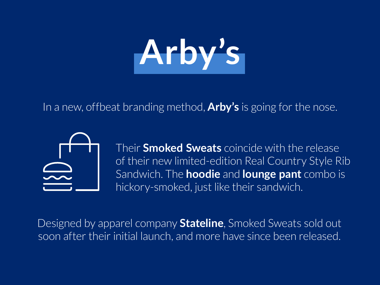# **Arby's**

In a new, offbeat branding method, **Arby's** is going for the nose.



Their **Smoked Sweats** coincide with the release of their new limited-edition Real Country Style Rib Sandwich. The **hoodie** and **lounge pant** combo is hickory-smoked, just like their sandwich.

Designed by apparel company **Stateline**, Smoked Sweats sold out soon after their initial launch, and more have since been released.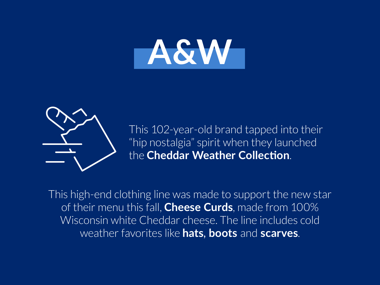



This 102-year-old brand tapped into their "hip nostalgia" spirit when they launched the **Cheddar Weather Collection**.

This high-end clothing line was made to support the new star of their menu this fall, **Cheese Curds**, made from 100% Wisconsin white Cheddar cheese. The line includes cold weather favorites like **hats**, **boots** and **scarves**.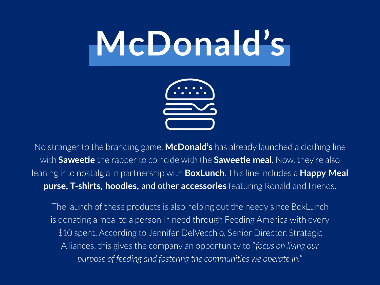#### **McDonald's**



No stranger to the branding game, **McDonald's** has already launched a clothing line with **Saweetie** the rapper to coincide with the **Saweetie meal**. Now, they're also leaning into nostalgia in partnership with **BoxLunch**. This line includes a **Happy Meal purse, T-shirts, hoodies,** and other **accessories** featuring Ronald and friends.

The launch of these products is also helping out the needy since BoxLunch is donating a meal to a person in need through Feeding America with every \$10 spent. According to Jennifer DelVecchio, Senior Director, Strategic Alliances, this gives the company an opportunity to "*focus on living our purpose of feeding and fostering the communities we operate in.*"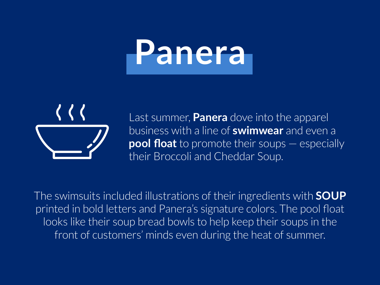## **Panera**



Last summer, **Panera** dove into the apparel business with a line of **swimwear** and even a **pool float** to promote their soups — especially their Broccoli and Cheddar Soup.

The swimsuits included illustrations of their ingredients with **SOUP** printed in bold letters and Panera's signature colors. The pool float looks like their soup bread bowls to help keep their soups in the front of customers' minds even during the heat of summer.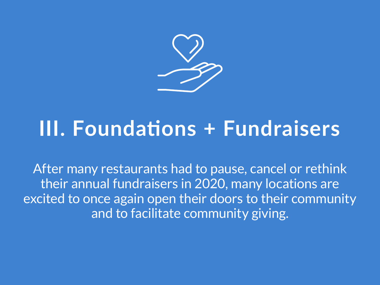

#### **III. Foundations + Fundraisers**

After many restaurants had to pause, cancel or rethink their annual fundraisers in 2020, many locations are excited to once again open their doors to their community and to facilitate community giving.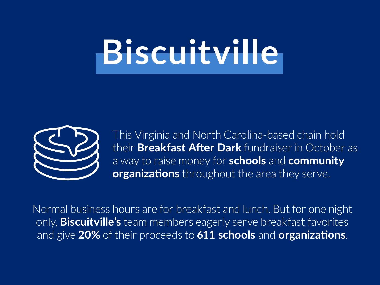### **Biscuitville**



This Virginia and North Carolina-based chain hold their **Breakfast After Dark** fundraiser in October as a way to raise money for **schools** and **community organizations** throughout the area they serve.

Normal business hours are for breakfast and lunch. But for one night only, **Biscuitville's** team members eagerly serve breakfast favorites and give **20%** of their proceeds to **611 schools** and **organizations**.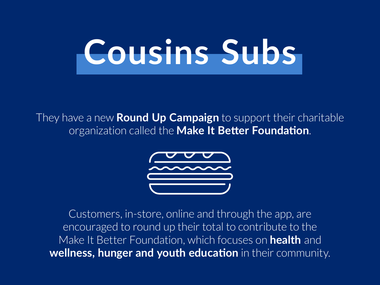## **Cousins Subs**

They have a new **Round Up Campaign** to support their charitable organization called the **Make It Better Foundation**.



Customers, in-store, online and through the app, are encouraged to round up their total to contribute to the Make It Better Foundation, which focuses on **health** and **wellness, hunger and youth education** in their community.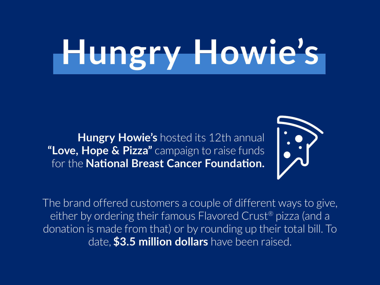# **Hungry Howie's**

**Hungry Howie's** hosted its 12th annual **"Love, Hope & Pizza"** campaign to raise funds for the **National Breast Cancer Foundation.**



The brand offered customers a couple of different ways to give, either by ordering their famous Flavored Crust® pizza (and a donation is made from that) or by rounding up their total bill. To date, **\$3.5 million dollars** have been raised.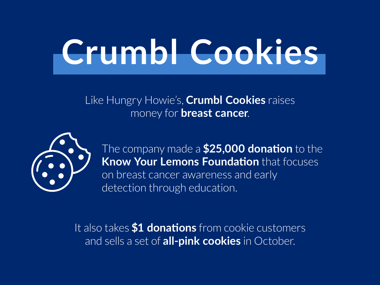## **Crumbl Cookies**

Like Hungry Howie's, **Crumbl Cookies** raises money for **breast cancer**.



The company made a **\$25,000 donation** to the **Know Your Lemons Foundation** that focuses on breast cancer awareness and early detection through education.

It also takes **\$1 donations** from cookie customers and sells a set of **all-pink cookies** in October.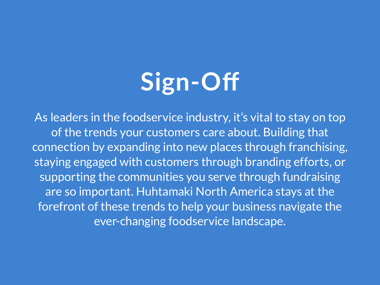#### **Sign-Off**

As leaders in the foodservice industry, it's vital to stay on top of the trends your customers care about. Building that connection by expanding into new places through franchising, staying engaged with customers through branding efforts, or supporting the communities you serve through fundraising are so important. Huhtamaki North America stays at the forefront of these trends to help your business navigate the ever-changing foodservice landscape.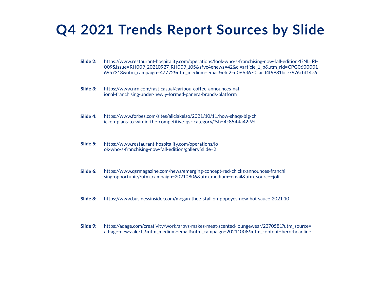#### **Q4 2021 Trends Report Sources by Slide**

- Slide 2: https://www.restaurant-hospitality.com/operations/look-who-s-franchising-now-fall-edition-1?NL=RH 009&Issue=RH009\_20210927\_RH009\_105&sfvc4enews=42&cl=article\_1\_b&utm\_rid=CPG0600001 6957313&utm\_campaign=47772&utm\_medium=email&elq2=d0663670cacd4f9981bce7976cbf14e6
- Slide 3: https://www.nrn.com/fast-casual/caribou-coffee-announces-nat ional-franchising-under-newly-formed-panera-brands-platform
- Slide 4: https://www.forbes.com/sites/aliciakelso/2021/10/11/how-shaqs-big-ch icken-plans-to-win-in-the-competitive-qsr-category/?sh=4c8544a42f9d
- Slide 5: https://www.restaurant-hospitality.com/operations/lo ok-who-s-franchising-now-fall-edition/gallery?slide=2
- Slide 6: https://www.qsrmagazine.com/news/emerging-concept-red-chickz-announces-franchi sing-opportunity?utm\_campaign=20210806&utm\_medium=email&utm\_source=jolt
- Slide 8: https://www.businessinsider.com/megan-thee-stallion-popeyes-new-hot-sauce-2021-10
- Slide 9: https://adage.com/creativity/work/arbys-makes-meat-scented-loungewear/2370581?utm\_source= ad-age-news-alerts&utm\_medium=email&utm\_campaign=20211008&utm\_content=hero-headline